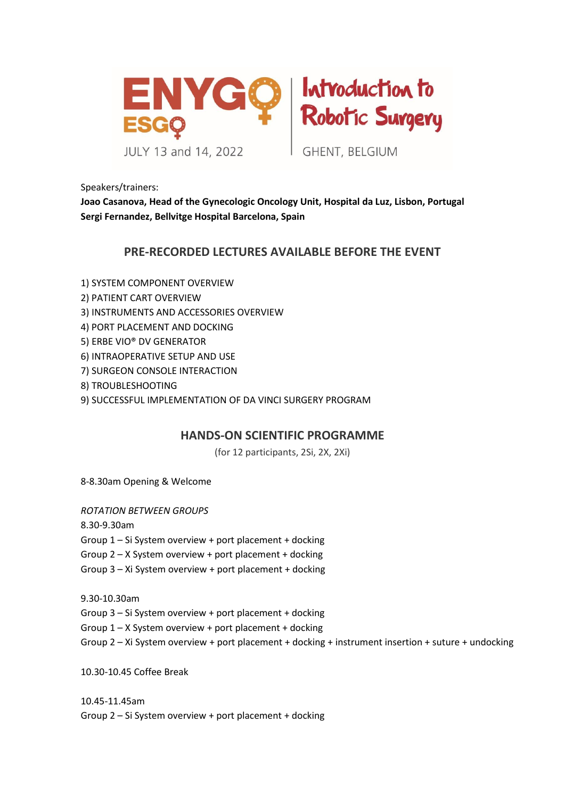



**GHENT, BELGIUM** 

Speakers/trainers:

**Joao Casanova, Head of the Gynecologic Oncology Unit, Hospital da Luz, Lisbon, Portugal Sergi Fernandez, Bellvitge Hospital Barcelona, Spain**

## **PRE-RECORDED LECTURES AVAILABLE BEFORE THE EVENT**

1) SYSTEM COMPONENT OVERVIEW

- 2) PATIENT CART OVERVIEW
- 3) INSTRUMENTS AND ACCESSORIES OVERVIEW
- 4) PORT PLACEMENT AND DOCKING
- 5) ERBE VIO® DV GENERATOR
- 6) INTRAOPERATIVE SETUP AND USE
- 7) SURGEON CONSOLE INTERACTION
- 8) TROUBLESHOOTING
- 9) SUCCESSFUL IMPLEMENTATION OF DA VINCI SURGERY PROGRAM

## **HANDS-ON SCIENTIFIC PROGRAMME**

(for 12 participants, 2Si, 2X, 2Xi)

8-8.30am Opening & Welcome

## *ROTATION BETWEEN GROUPS*

8.30-9.30am

Group 1 – Si System overview + port placement + docking

Group 2 – X System overview + port placement + docking

Group 3 – Xi System overview + port placement + docking

9.30-10.30am

Group 3 – Si System overview + port placement + docking

Group 1 – X System overview + port placement + docking

Group 2 – Xi System overview + port placement + docking + instrument insertion + suture + undocking

10.30-10.45 Coffee Break

10.45-11.45am Group 2 – Si System overview + port placement + docking